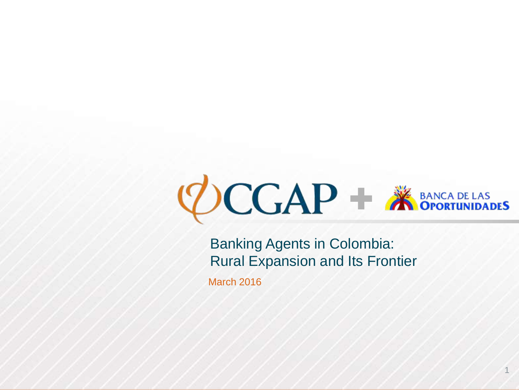

Banking Agents in Colombia: Rural Expansion and Its Frontier

March 2016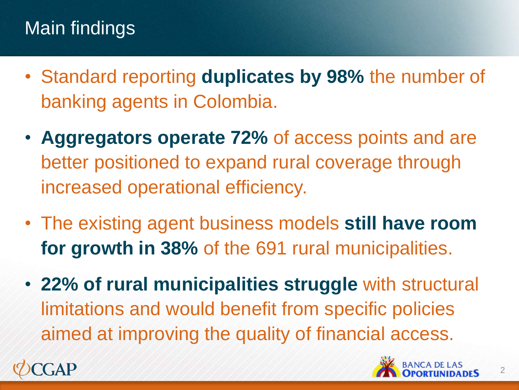## Main findings

- Standard reporting **duplicates by 98%** the number of banking agents in Colombia.
- **Aggregators operate 72%** of access points and are better positioned to expand rural coverage through increased operational efficiency.
- The existing agent business models **still have room for growth in 38%** of the 691 rural municipalities.
- **22% of rural municipalities struggle** with structural limitations and would benefit from specific policies aimed at improving the quality of financial access.



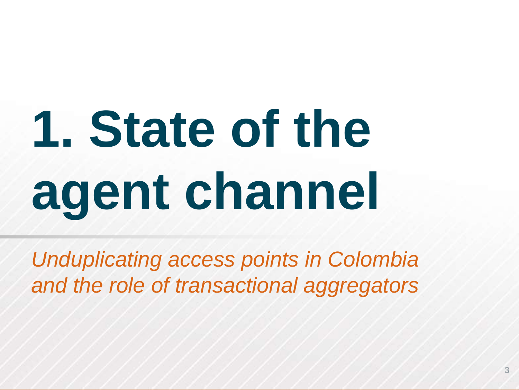# **1. State of the agent channel**

*Unduplicating access points in Colombia and the role of transactional aggregators*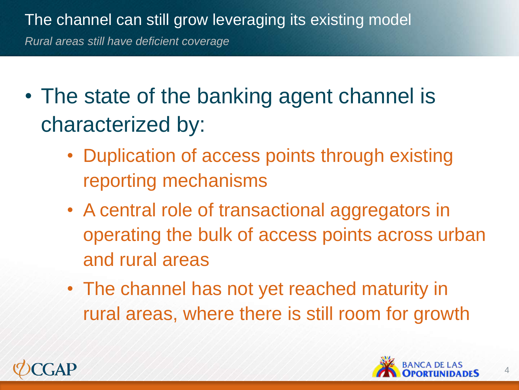## The channel can still grow leveraging its existing model

*Rural areas still have deficient coverage*

- The state of the banking agent channel is characterized by:
	- Duplication of access points through existing reporting mechanisms
	- A central role of transactional aggregators in operating the bulk of access points across urban and rural areas
	- The channel has not yet reached maturity in rural areas, where there is still room for growth



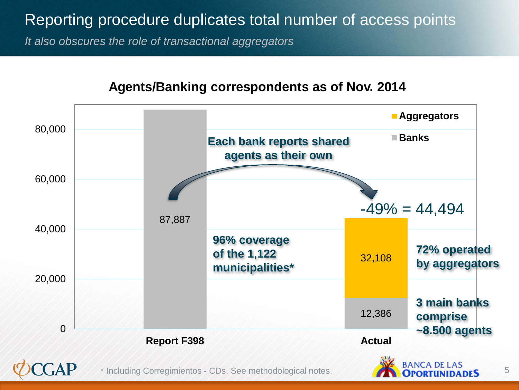## Reporting procedure duplicates total number of access points

*It also obscures the role of transactional aggregators*



#### **Agents/Banking correspondents as of Nov. 2014**

\* Including Corregimientos - CDs. See methodological notes.

**BANCA DE LAS**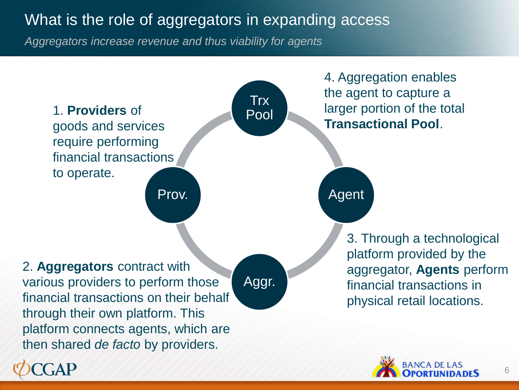## What is the role of aggregators in expanding access

*Aggregators increase revenue and thus viability for agents*





6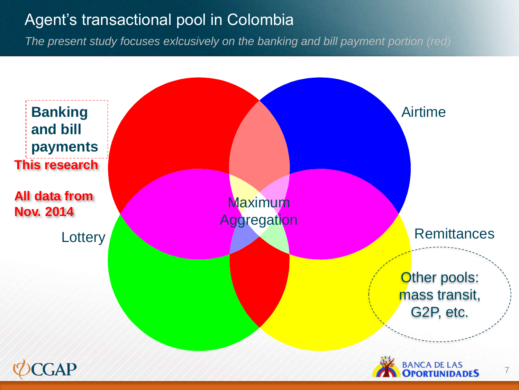## Agent's transactional pool in Colombia

*The present study focuses exlcusively on the banking and bill payment portion (red)*



7

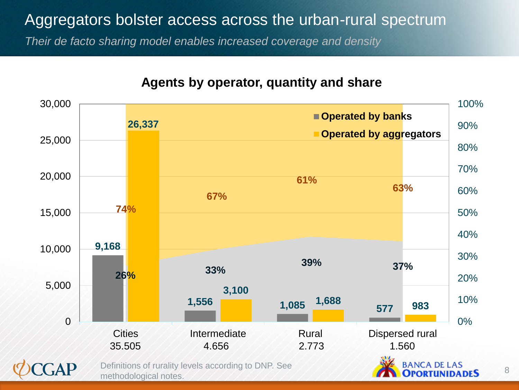## Aggregators bolster access across the urban-rural spectrum

*Their de facto sharing model enables increased coverage and density*



#### **Agents by operator, quantity and share**

Definitions of rurality levels according to DNP. See methodological notes.

ORTUNIDADES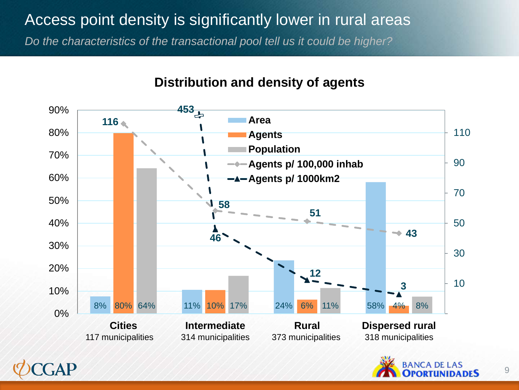## Access point density is significantly lower in rural areas

*Do the characteristics of the transactional pool tell us it could be higher?*



#### **Distribution and density of agents**

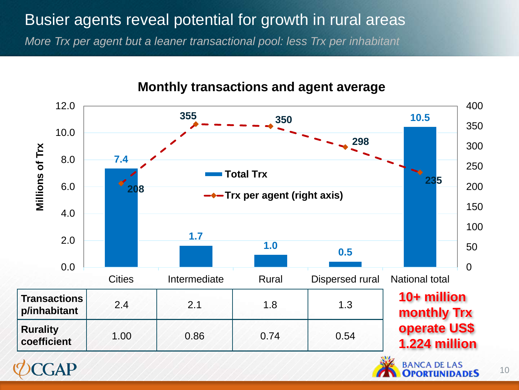## Busier agents reveal potential for growth in rural areas

*More Trx per agent but a leaner transactional pool: less Trx per inhabitant*



#### **Monthly transactions and agent average**

**BANCA DE LAS** 

RTUNIDADES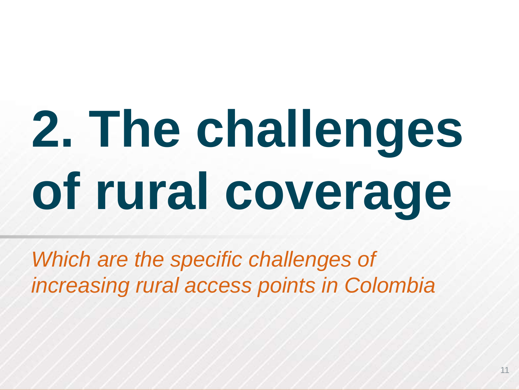# **2. The challenges of rural coverage**

*Which are the specific challenges of increasing rural access points in Colombia*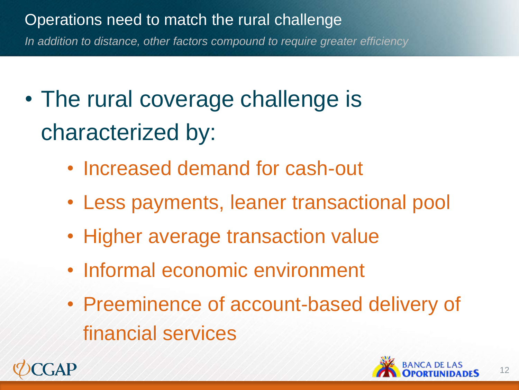*In addition to distance, other factors compound to require greater efficiency*

- The rural coverage challenge is characterized by:
	- Increased demand for cash-out
	- Less payments, leaner transactional pool
	- Higher average transaction value
	- Informal economic environment
	- Preeminence of account-based delivery of financial services



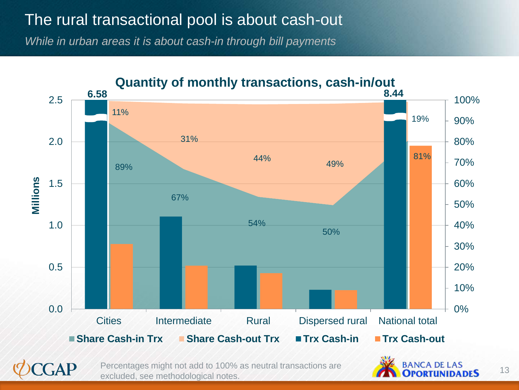## The rural transactional pool is about cash-out

*While in urban areas it is about cash-in through bill payments*



Percentages might not add to 100% as neutral transactions are **the BANCA DE LAS CONSTRUMIDADES** 13 excluded, see methodological notes.

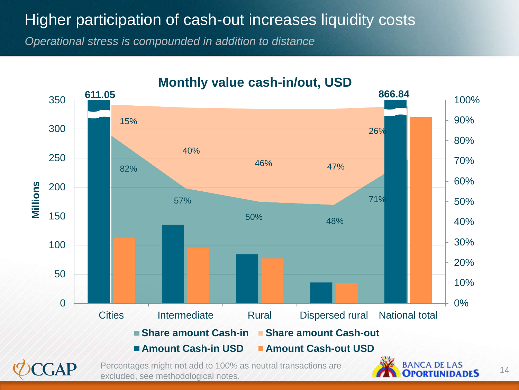## Higher participation of cash-out increases liquidity costs

*Operational stress is compounded in addition to distance*

excluded, see methodological notes.



#### **Monthly value cash-in/out, USD**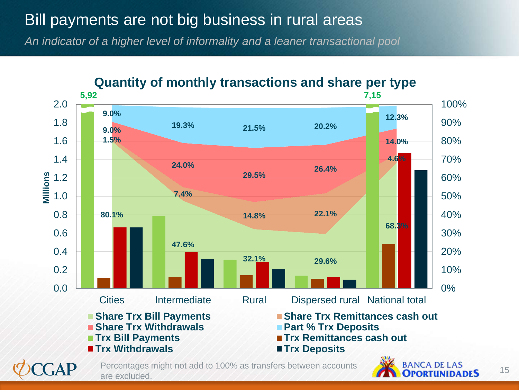## Bill payments are not big business in rural areas

*An indicator of a higher level of informality and a leaner transactional pool*





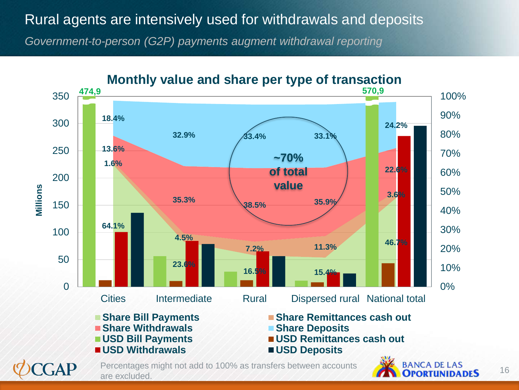## Rural agents are intensively used for withdrawals and deposits

*Government-to-person (G2P) payments augment withdrawal reporting*



Percentages might not add to 100% as transfers between accounts<br> **The Soluded Strange over the Strange of the Strange of the Strange over the Strange Strange Strange Strange Strange Strange Strange Strange Strange Strange** are excluded.

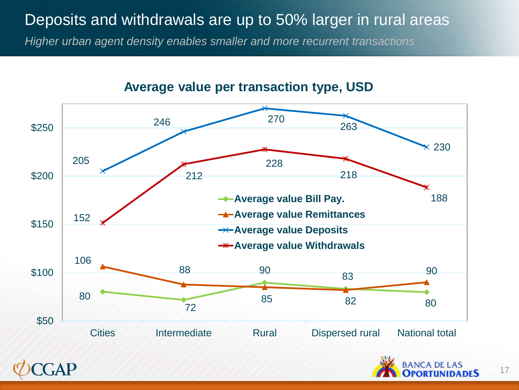## Deposits and withdrawals are up to 50% larger in rural areas

*Higher urban agent density enables smaller and more recurrent transactions*



#### **Average value per transaction type, USD**



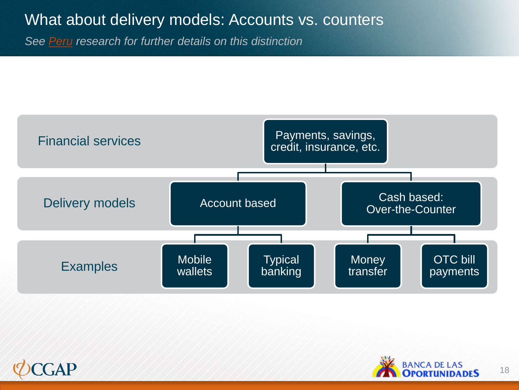### What about delivery models: Accounts vs. counters

*See [Peru](http://www.cgap.org/blog/cashless-cashy-yin-yang-digital-delivery-peru) research for further details on this distinction*







18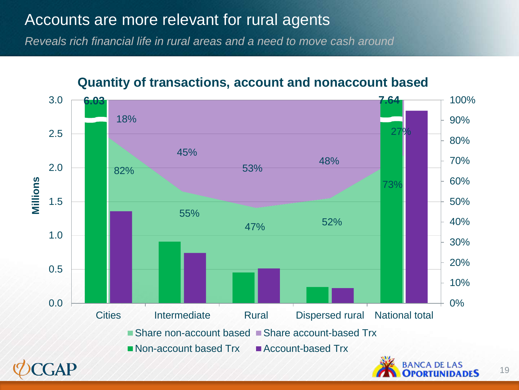## Accounts are more relevant for rural agents

*Reveals rich financial life in rural areas and a need to move cash around*



#### **Quantity of transactions, account and nonaccount based**



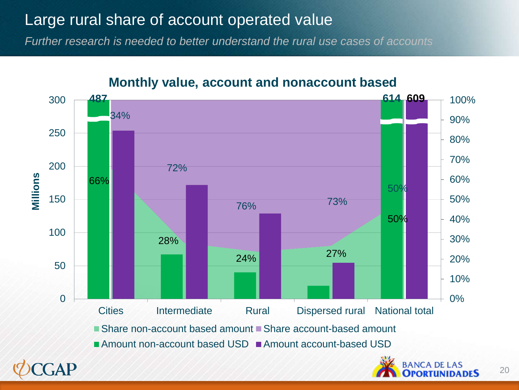## Large rural share of account operated value

*Further research is needed to better understand the rural use cases of accounts*







20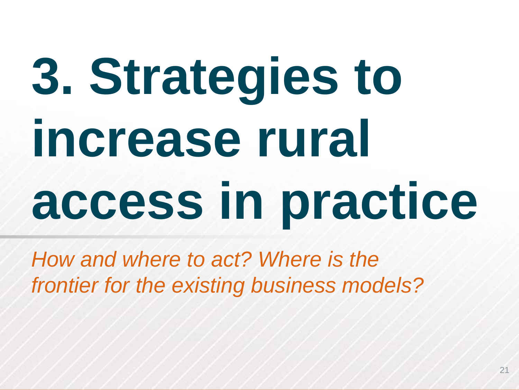# **3. Strategies to increase rural access in practice**

*How and where to act? Where is the frontier for the existing business models?*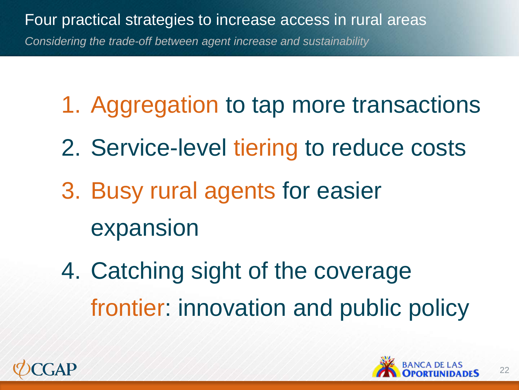*Considering the trade-off between agent increase and sustainability*

- 1. Aggregation to tap more transactions
- 2. Service-level tiering to reduce costs
- 3. Busy rural agents for easier expansion
- 4. Catching sight of the coverage frontier: innovation and public policy



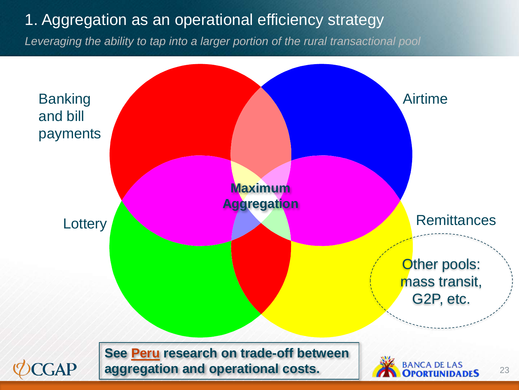## 1. Aggregation as an operational efficiency strategy

*Leveraging the ability to tap into a larger portion of the rural transactional pool*

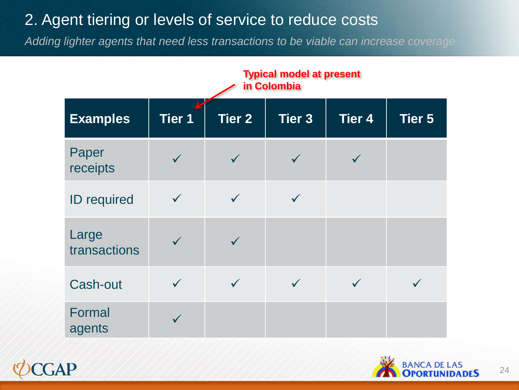## 2. Agent tiering or levels of service to reduce costs

*Adding lighter agents that need less transactions to be viable can increase coverage*





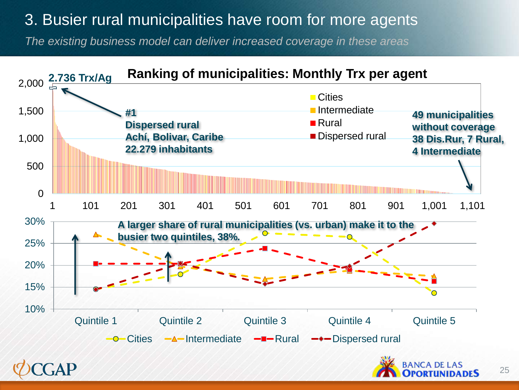## 3. Busier rural municipalities have room for more agents

*The existing business model can deliver increased coverage in these areas*





25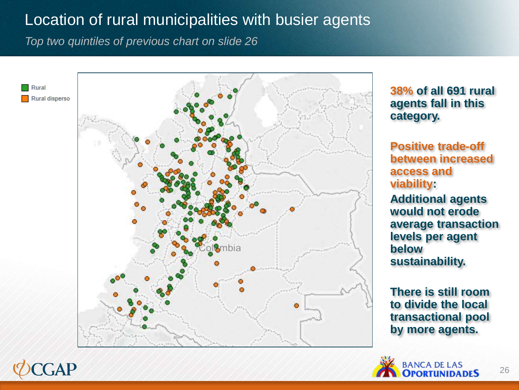## Location of rural municipalities with busier agents

*Top two quintiles of previous chart on slide 26*



**38% of all 691 rural agents fall in this category.** 

**Positive trade-off between increased access and viability:**

**Additional agents would not erode average transaction levels per agent below sustainability.**

**There is still room to divide the local transactional pool by more agents.**

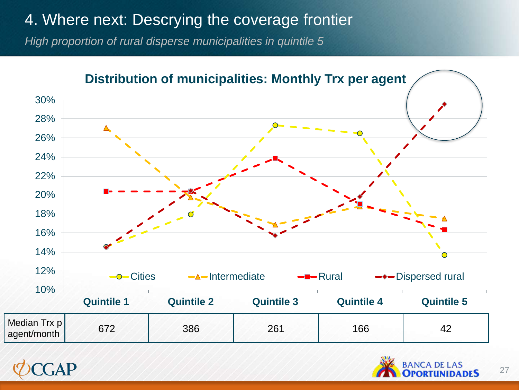## 4. Where next: Descrying the coverage frontier

*High proportion of rural disperse municipalities in quintile 5*





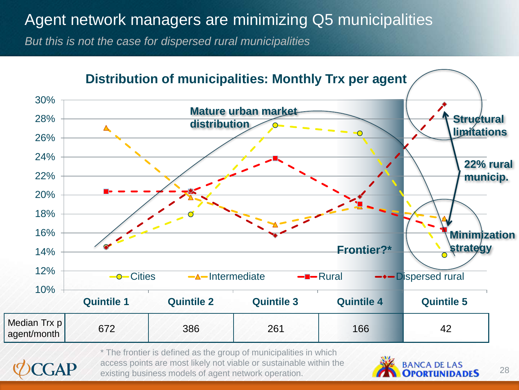## Agent network managers are minimizing Q5 municipalities

*But this is not the case for dispersed rural municipalities*



\* The frontier is defined as the group of municipalities in which access points are most likely not viable or sustainable within the



existing business models of agent network operation.

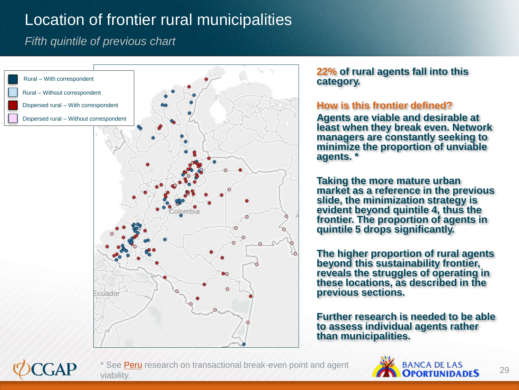## Location of frontier rural municipalities

#### *Fifth quintile of previous chart*



#### **22% of rural agents fall into this category.**

#### **How is this frontier defined?**

**Agents are viable and desirable at least when they break even. Network managers are constantly seeking to minimize the proportion of unviable agents. \***

**Taking the more mature urban market as a reference in the previous slide, the minimization strategy is evident beyond quintile 4, thus the frontier. The proportion of agents in quintile 5 drops significantly.**

**The higher proportion of rural agents beyond this sustainability frontier, reveals the struggles of operating in these locations, as described in the previous sections.**

**Further research is needed to be able to assess individual agents rather than municipalities.**



See [Peru](http://www.cgap.org/blog/cashless-cashy-yin-yang-digital-delivery-peru) research on transactional break-even point and agent viability.

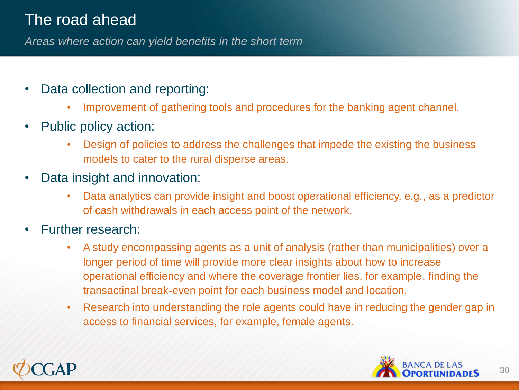## The road ahead

*Areas where action can yield benefits in the short term*

- Data collection and reporting:
	- Improvement of gathering tools and procedures for the banking agent channel.
- Public policy action:
	- Design of policies to address the challenges that impede the existing the business models to cater to the rural disperse areas.
- Data insight and innovation:
	- Data analytics can provide insight and boost operational efficiency, e.g., as a predictor of cash withdrawals in each access point of the network.
- Further research:
	- A study encompassing agents as a unit of analysis (rather than municipalities) over a longer period of time will provide more clear insights about how to increase operational efficiency and where the coverage frontier lies, for example, finding the transactinal break-even point for each business model and location.
	- Research into understanding the role agents could have in reducing the gender gap in access to financial services, for example, female agents.



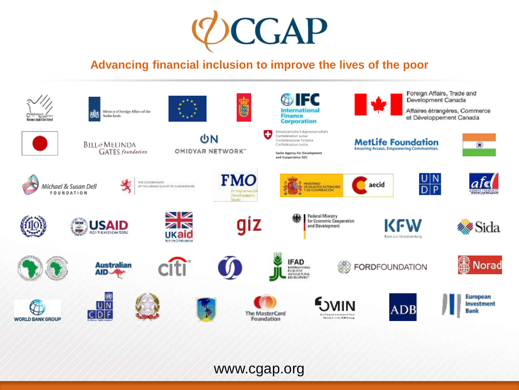

#### **Advancing financial inclusion to improve the lives of the poor**



www.cgap.org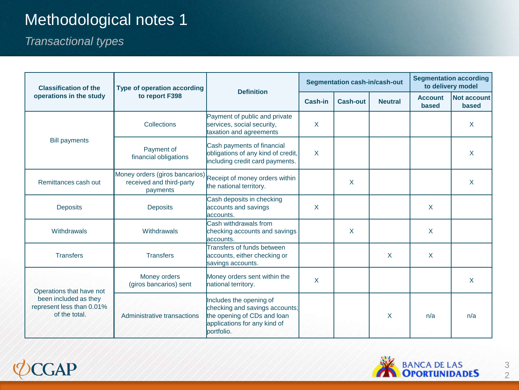## Methodological notes 1

#### Transactional types *Transactional types*

| <b>Classification of the</b><br>operations in the study                                         | Type of operation according<br>to report F398                          | <b>Definition</b>                                                                                                                      | <b>Segmentation cash-in/cash-out</b> |                 |                | <b>Segmentation according</b><br>to delivery model |                             |
|-------------------------------------------------------------------------------------------------|------------------------------------------------------------------------|----------------------------------------------------------------------------------------------------------------------------------------|--------------------------------------|-----------------|----------------|----------------------------------------------------|-----------------------------|
|                                                                                                 |                                                                        |                                                                                                                                        | <b>Cash-in</b>                       | <b>Cash-out</b> | <b>Neutral</b> | <b>Account</b><br>based                            | <b>Not account</b><br>based |
| <b>Bill payments</b>                                                                            | Collections                                                            | Payment of public and private<br>services, social security,<br>taxation and agreements                                                 | X                                    |                 |                |                                                    | X                           |
|                                                                                                 | Payment of<br>financial obligations                                    | Cash payments of financial<br>obligations of any kind of credit,<br>including credit card payments.                                    | X                                    |                 |                |                                                    | X                           |
| Remittances cash out                                                                            | Money orders (giros bancarios)<br>received and third-party<br>payments | Receipt of money orders within<br>the national territory.                                                                              |                                      | X               |                |                                                    | $\mathsf{X}$                |
| <b>Deposits</b>                                                                                 | <b>Deposits</b>                                                        | Cash deposits in checking<br>accounts and savings<br>laccounts.                                                                        | X                                    |                 |                | X                                                  |                             |
| Withdrawals                                                                                     | <b>Withdrawals</b>                                                     | Cash withdrawals from<br>checking accounts and savings<br>accounts.                                                                    |                                      | X               |                | X                                                  |                             |
| <b>Transfers</b>                                                                                | <b>Transfers</b>                                                       | Transfers of funds between<br>accounts, either checking or<br>savings accounts.                                                        |                                      |                 | X              | X.                                                 |                             |
| Operations that have not<br>been included as they<br>represent less than 0.01%<br>of the total. | Money orders<br>(giros bancarios) sent                                 | Money orders sent within the<br>national territory.                                                                                    | $\mathsf{X}$                         |                 |                |                                                    | X                           |
|                                                                                                 | Administrative transactions                                            | Includes the opening of<br>checking and savings accounts;<br>the opening of CDs and loan<br>applications for any kind of<br>portfolio. |                                      |                 | X              | n/a                                                | n/a                         |



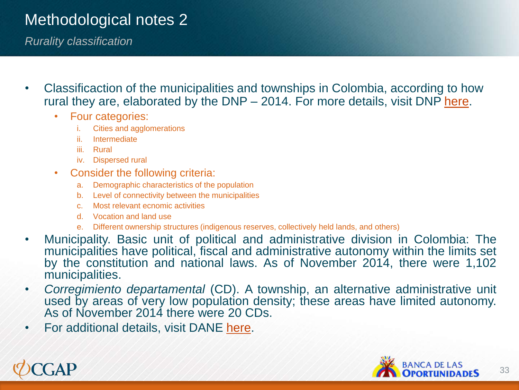## Methodological notes 2

*Rurality classification*

- Classificaction of the municipalities and townships in Colombia, according to how rural they are, elaborated by the  $DNP - 2014$ . For more details, visit  $DNP$  [here](https://colaboracion.dnp.gov.co/CDT/Estudios Econmicos/2015ago6 Documento de Ruralidad - DDRS-MTC.pdf).
	- Four categories:
		- i. Cities and agglomerations
		- ii. Intermediate
		- iii. Rural
		- iv. Dispersed rural
	- Consider the following criteria:
		- a. Demographic characteristics of the population
		- b. Level of connectivity between the municipalities
		- c. Most relevant ecnomic activities
		- d. Vocation and land use
		- e. Different ownership structures (indigenous reserves, collectively held lands, and others)
- Municipality. Basic unit of political and administrative division in Colombia: The municipalities have political, fiscal and administrative autonomy within the limits set by the constitution and national laws. As of November 2014, there were 1,102 municipalities.
- *Corregimiento departamental* (CD). A township, an alternative administrative unit used by areas of very low population density; these areas have limited autonomy. As of November 2014 there were 20 CDs.
- For additional details, visit DANE [here](https://geoportal.dane.gov.co/v2/?page=elementoDivipola).